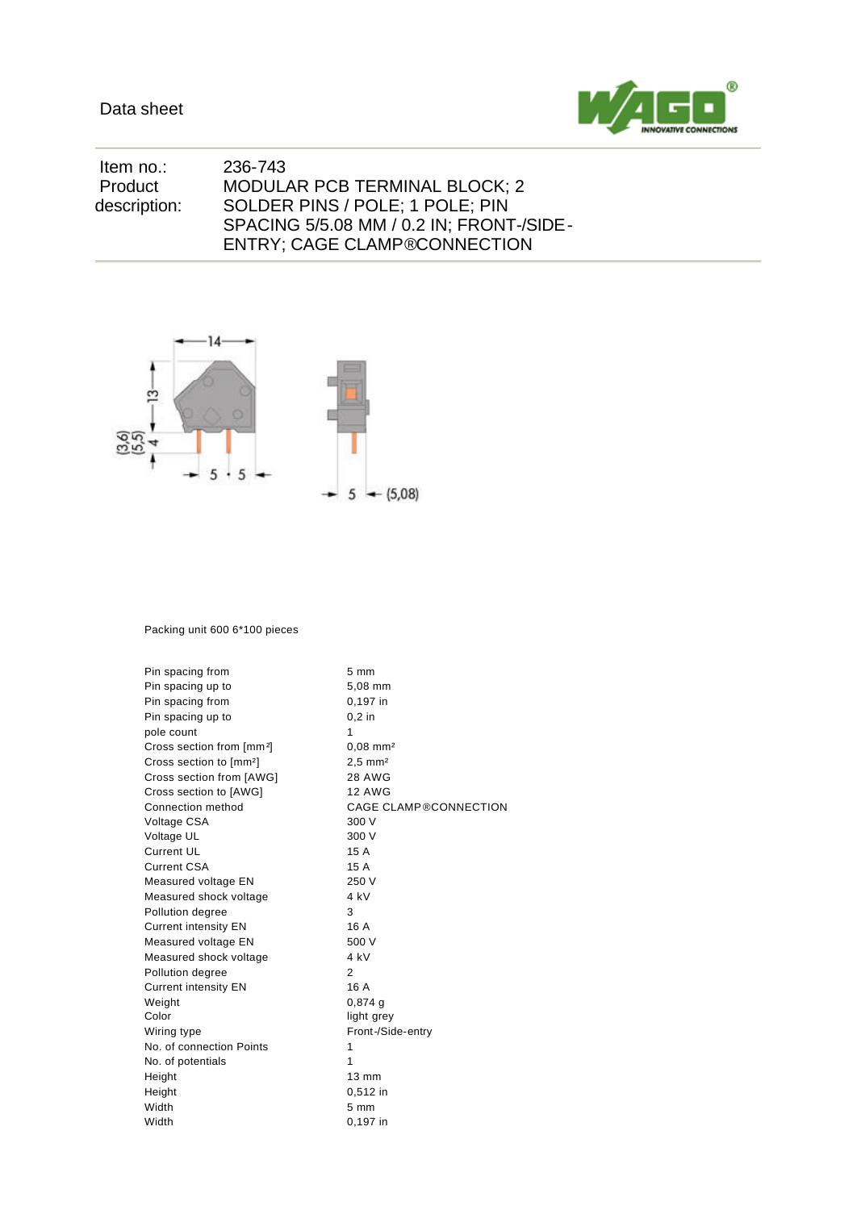

| ltem no.:    | 236-743                                  |
|--------------|------------------------------------------|
| Product      | MODULAR PCB TERMINAL BLOCK; 2            |
| description: | SOLDER PINS / POLE; 1 POLE; PIN          |
|              | SPACING 5/5.08 MM / 0.2 IN; FRONT-/SIDE- |
|              | <b>ENTRY: CAGE CLAMP®CONNECTION</b>      |



## Packing unit 600 6\*100 pieces

| Pin spacing from                      | $5 \text{ mm}$               |  |  |  |
|---------------------------------------|------------------------------|--|--|--|
| Pin spacing up to                     | 5,08 mm                      |  |  |  |
| Pin spacing from                      | 0,197 in                     |  |  |  |
| Pin spacing up to                     | $0.2$ in                     |  |  |  |
| pole count                            | 1                            |  |  |  |
| Cross section from [mm <sup>2</sup> ] | $0,08$ mm <sup>2</sup>       |  |  |  |
| Cross section to [mm <sup>2</sup> ]   | $2.5$ mm <sup>2</sup>        |  |  |  |
| Cross section from [AWG]              | <b>28 AWG</b>                |  |  |  |
| Cross section to [AWG]                | <b>12 AWG</b>                |  |  |  |
| Connection method                     | <b>CAGE CLAMP®CONNECTION</b> |  |  |  |
| Voltage CSA                           | 300 V                        |  |  |  |
| Voltage UL                            | 300 V                        |  |  |  |
| <b>Current UL</b>                     | 15 A                         |  |  |  |
| <b>Current CSA</b>                    | 15 A                         |  |  |  |
| Measured voltage EN                   | 250 V                        |  |  |  |
| Measured shock voltage                | 4 kV                         |  |  |  |
| Pollution degree                      | 3                            |  |  |  |
| <b>Current intensity EN</b>           | 16 A                         |  |  |  |
| Measured voltage EN                   | 500 V                        |  |  |  |
| Measured shock voltage                | 4 kV                         |  |  |  |
| Pollution degree                      | $\overline{2}$               |  |  |  |
| <b>Current intensity EN</b>           | 16 A                         |  |  |  |
| Weight                                | $0,874$ a                    |  |  |  |
| Color                                 | light grey                   |  |  |  |
| Wiring type                           | Front-/Side-entry            |  |  |  |
| No. of connection Points              | 1                            |  |  |  |
| No. of potentials                     | 1                            |  |  |  |
| Height                                | 13 mm                        |  |  |  |
| Height                                | 0,512 in                     |  |  |  |
| Width                                 | $5 \, \text{mm}$             |  |  |  |
| Width                                 | $0,197$ in                   |  |  |  |